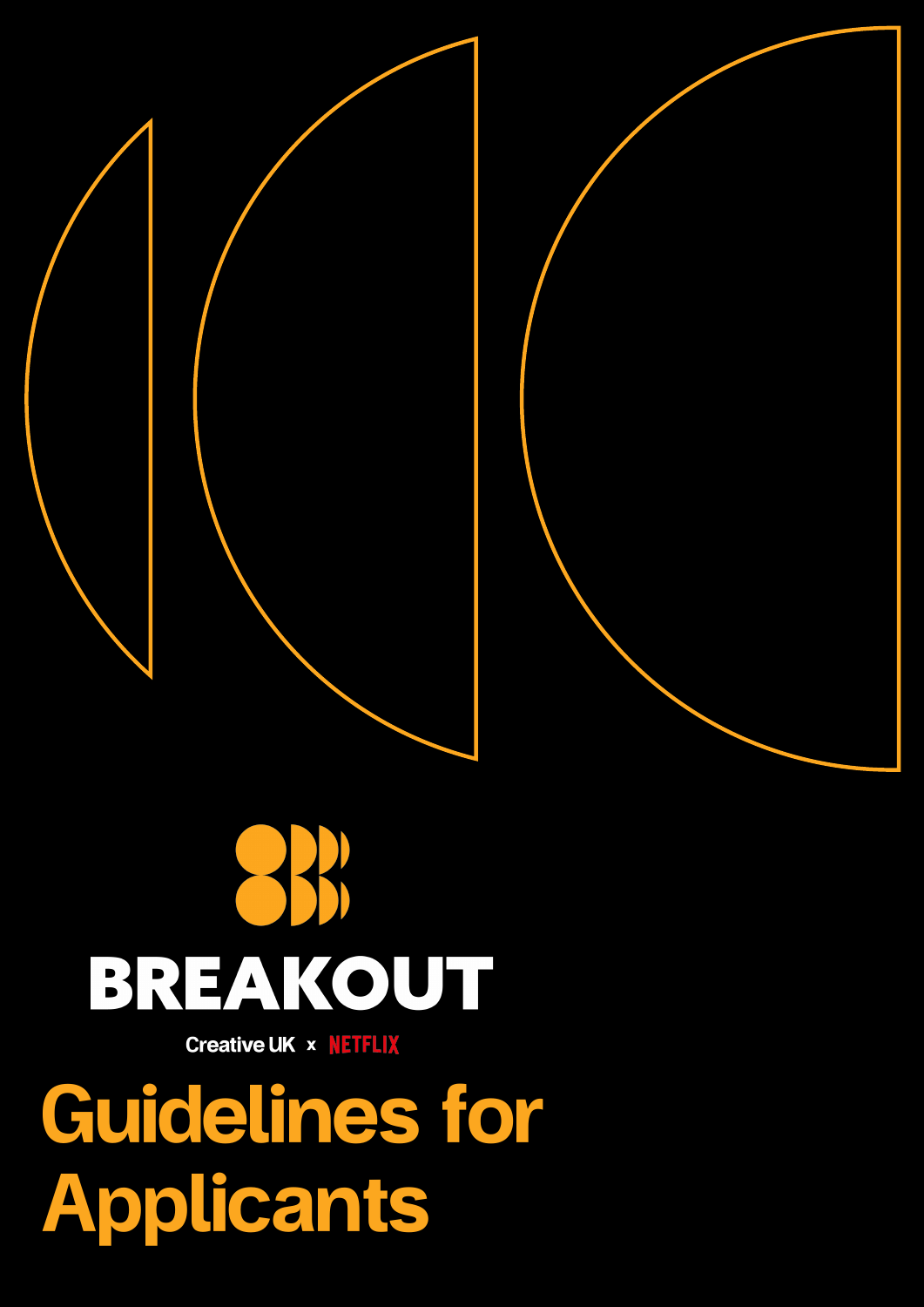# BREAKOUT

Creative UK x NETFLIX

# Guidelines for Applicants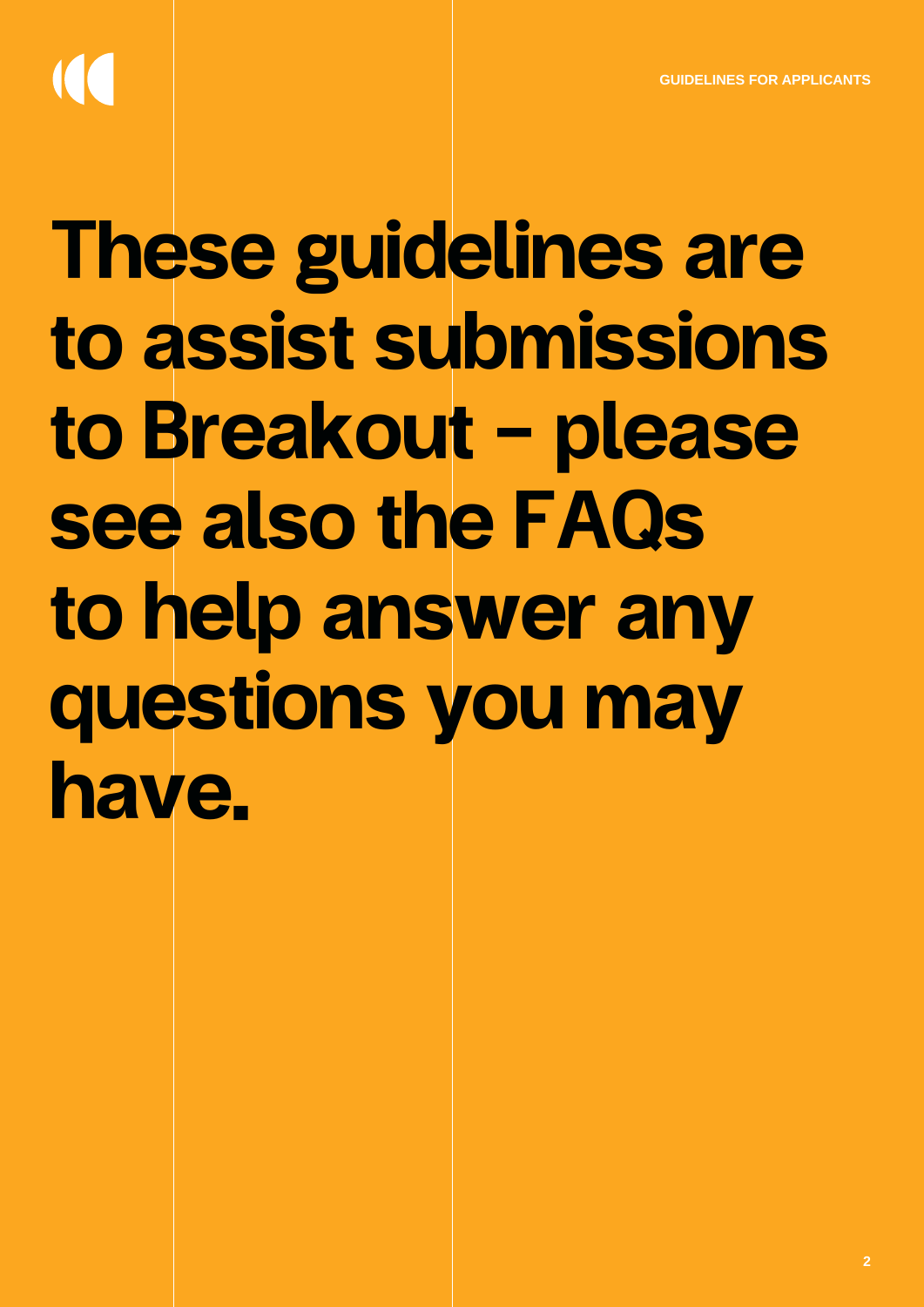# $\overline{(\zeta)}$

# These guidelines are to assist submissions to Breakout - please see also the [FAQs](https://www.wearecreative.uk/wp-content/uploads/2022/02/Breakout-FAQs.pdf)  to help answer any questions you may have.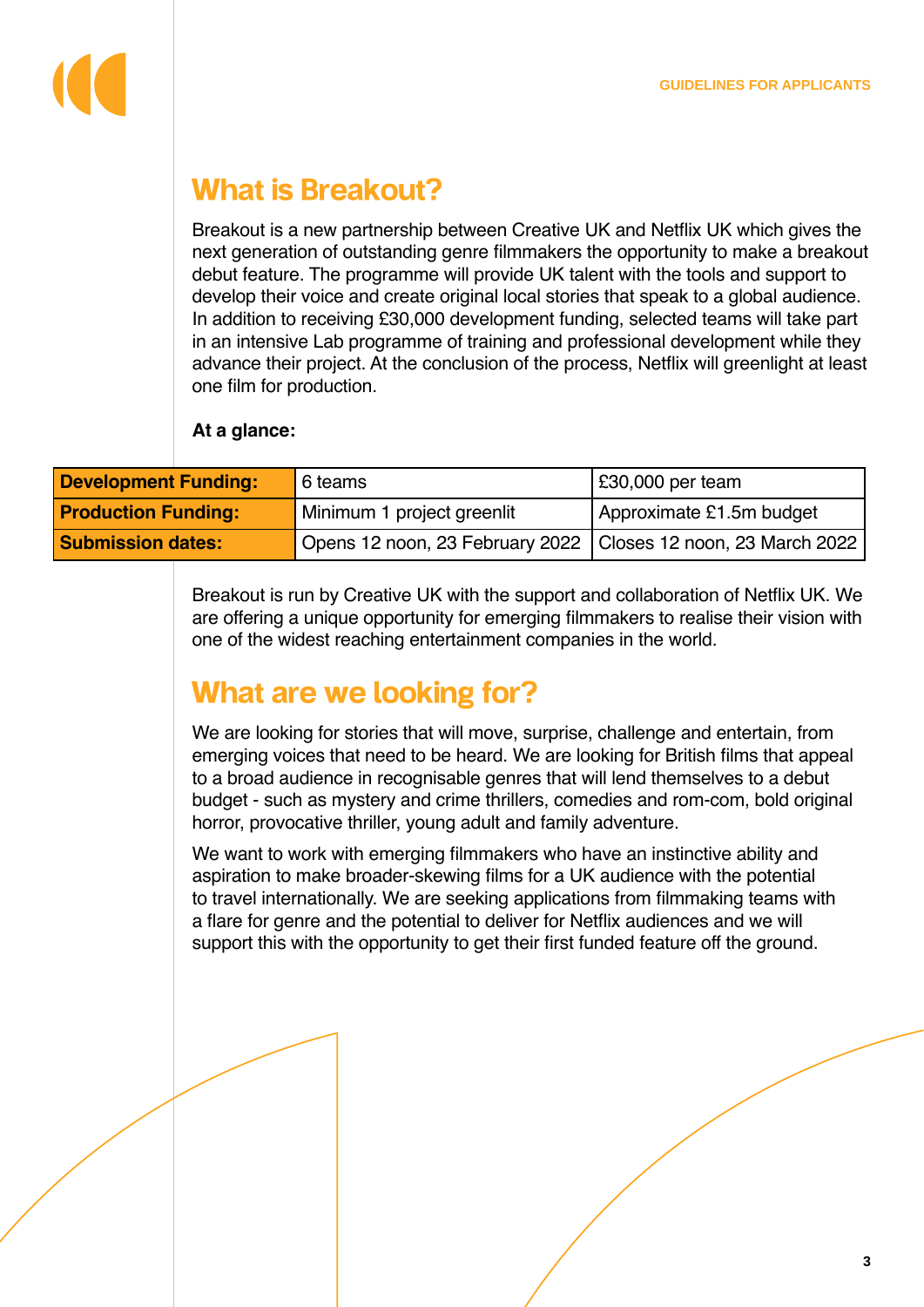

# What is Breakout?

Breakout is a new partnership between Creative UK and Netflix UK which gives the next generation of outstanding genre filmmakers the opportunity to make a breakout debut feature. The programme will provide UK talent with the tools and support to develop their voice and create original local stories that speak to a global audience. In addition to receiving £30,000 development funding, selected teams will take part in an intensive Lab programme of training and professional development while they advance their project. At the conclusion of the process, Netflix will greenlight at least one film for production.

#### **At a glance:**

| <b>Development Funding:</b> | 6 teams                                                         | £30,000 per team         |
|-----------------------------|-----------------------------------------------------------------|--------------------------|
| <b>Production Funding:</b>  | Minimum 1 project greenlit                                      | Approximate £1.5m budget |
| <b>Submission dates:</b>    | Opens 12 noon, 23 February 2022   Closes 12 noon, 23 March 2022 |                          |

Breakout is run by Creative UK with the support and collaboration of Netflix UK. We are offering a unique opportunity for emerging filmmakers to realise their vision with one of the widest reaching entertainment companies in the world.

#### What are we looking for?

We are looking for stories that will move, surprise, challenge and entertain, from emerging voices that need to be heard. We are looking for British films that appeal to a broad audience in recognisable genres that will lend themselves to a debut budget - such as mystery and crime thrillers, comedies and rom-com, bold original horror, provocative thriller, young adult and family adventure.

We want to work with emerging filmmakers who have an instinctive ability and aspiration to make broader-skewing films for a UK audience with the potential to travel internationally. We are seeking applications from filmmaking teams with a flare for genre and the potential to deliver for Netflix audiences and we will support this with the opportunity to get their first funded feature off the ground.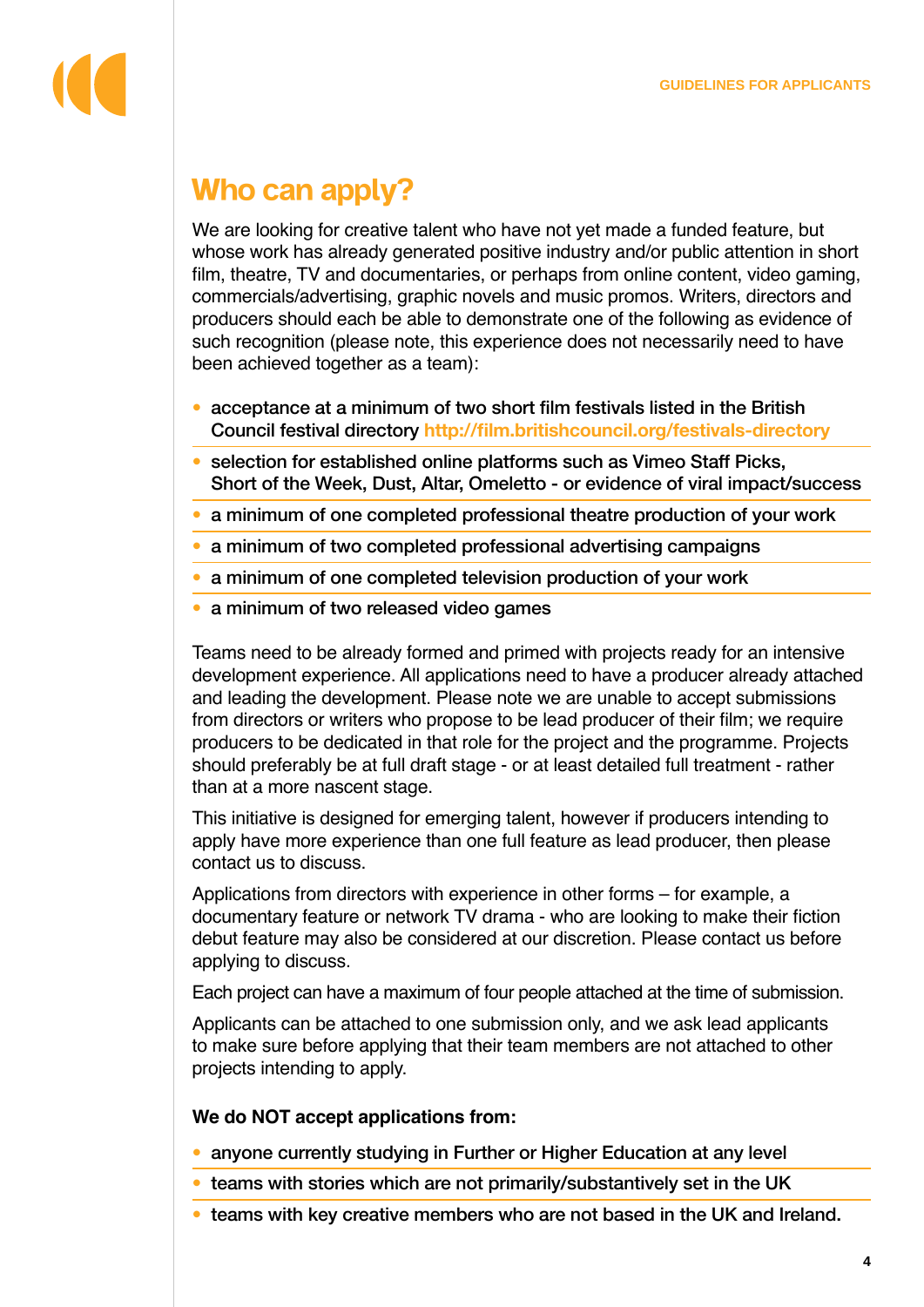## Who can apply?

We are looking for creative talent who have not yet made a funded feature, but whose work has already generated positive industry and/or public attention in short film, theatre, TV and documentaries, or perhaps from online content, video gaming, commercials/advertising, graphic novels and music promos. Writers, directors and producers should each be able to demonstrate one of the following as evidence of such recognition (please note, this experience does not necessarily need to have been achieved together as a team):

- acceptance at a minimum of two short film festivals listed in the British Council festival directory **http://film.britishcouncil.org/festivals-directory**
- selection for established online platforms such as Vimeo Staff Picks, Short of the Week, Dust, Altar, Omeletto - or evidence of viral impact/success
- a minimum of one completed professional theatre production of your work
- a minimum of two completed professional advertising campaigns
- a minimum of one completed television production of your work
- a minimum of two released video games

Teams need to be already formed and primed with projects ready for an intensive development experience. All applications need to have a producer already attached and leading the development. Please note we are unable to accept submissions from directors or writers who propose to be lead producer of their film; we require producers to be dedicated in that role for the project and the programme. Projects should preferably be at full draft stage - or at least detailed full treatment - rather than at a more nascent stage.

This initiative is designed for emerging talent, however if producers intending to apply have more experience than one full feature as lead producer, then please contact us to discuss.

Applications from directors with experience in other forms – for example, a documentary feature or network TV drama - who are looking to make their fiction debut feature may also be considered at our discretion. Please contact us before applying to discuss.

Each project can have a maximum of four people attached at the time of submission.

Applicants can be attached to one submission only, and we ask lead applicants to make sure before applying that their team members are not attached to other projects intending to apply.

#### **We do NOT accept applications from:**

- anyone currently studying in Further or Higher Education at any level
- teams with stories which are not primarily/substantively set in the UK
- teams with key creative members who are not based in the UK and Ireland.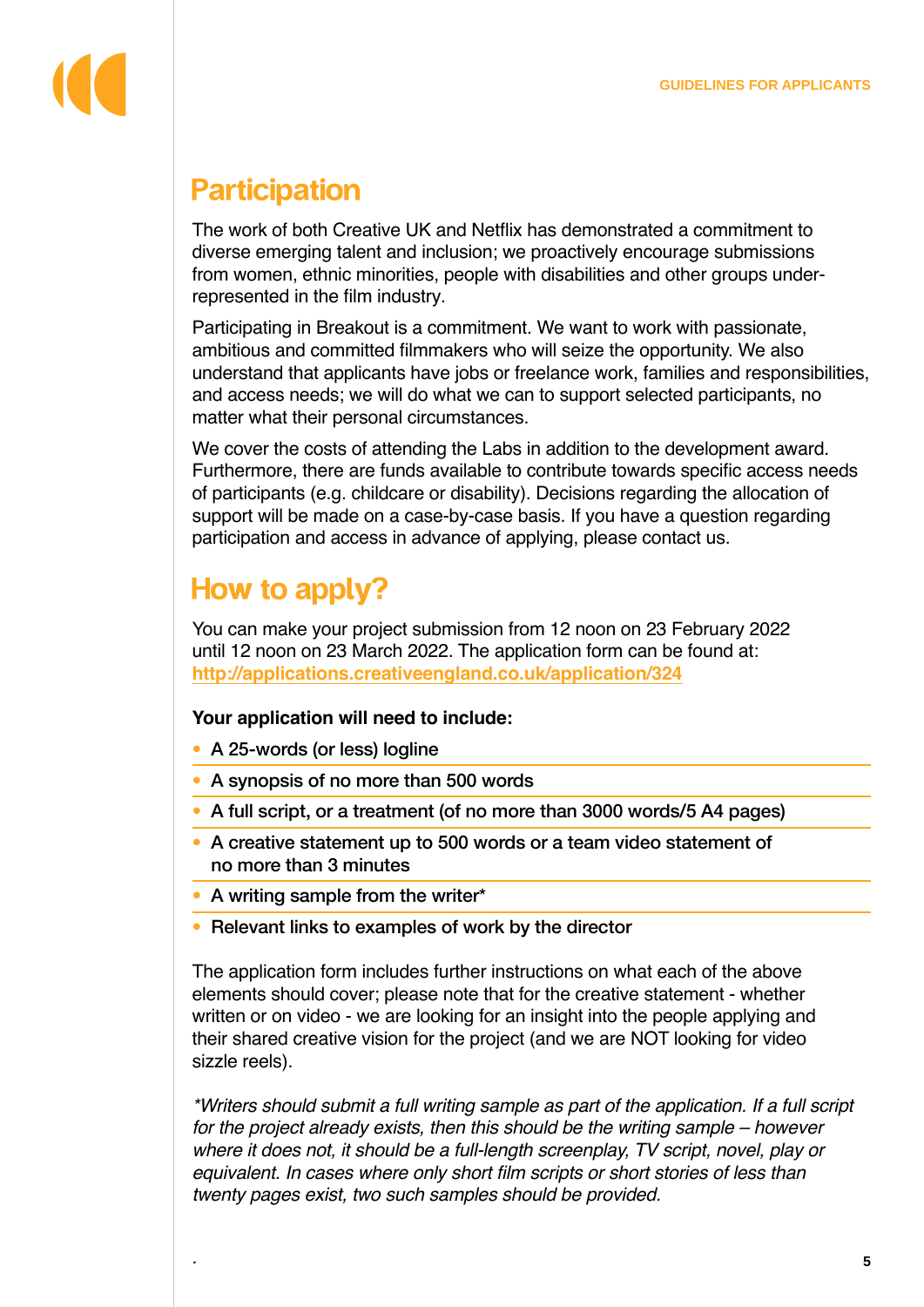# **Participation**

The work of both Creative UK and Netflix has demonstrated a commitment to diverse emerging talent and inclusion; we proactively encourage submissions from women, ethnic minorities, people with disabilities and other groups underrepresented in the film industry.

Participating in Breakout is a commitment. We want to work with passionate, ambitious and committed filmmakers who will seize the opportunity. We also understand that applicants have jobs or freelance work, families and responsibilities, and access needs; we will do what we can to support selected participants, no matter what their personal circumstances.

We cover the costs of attending the Labs in addition to the development award. Furthermore, there are funds available to contribute towards specific access needs of participants (e.g. childcare or disability). Decisions regarding the allocation of support will be made on a case-by-case basis. If you have a question regarding participation and access in advance of applying, please contact us.

## How to apply?

You can make your project submission from 12 noon on 23 February 2022 until 12 noon on 23 March 2022. The application form can be found at: **http://applications.creativeengland.co.uk/application/324**

#### **Your application will need to include:**

- A 25-words (or less) logline
- A synopsis of no more than 500 words
- A full script, or a treatment (of no more than 3000 words/5 A4 pages)
- A creative statement up to 500 words or a team video statement of no more than 3 minutes
- A writing sample from the writer\*

.

• Relevant links to examples of work by the director

The application form includes further instructions on what each of the above elements should cover; please note that for the creative statement - whether written or on video - we are looking for an insight into the people applying and their shared creative vision for the project (and we are NOT looking for video sizzle reels).

*\*Writers should submit a full writing sample as part of the application. If a full script for the project already exists, then this should be the writing sample – however where it does not, it should be a full-length screenplay, TV script, novel, play or* equivalent. In cases where only short film scripts or short stories of less than *twenty pages exist, two such samples should be provided.*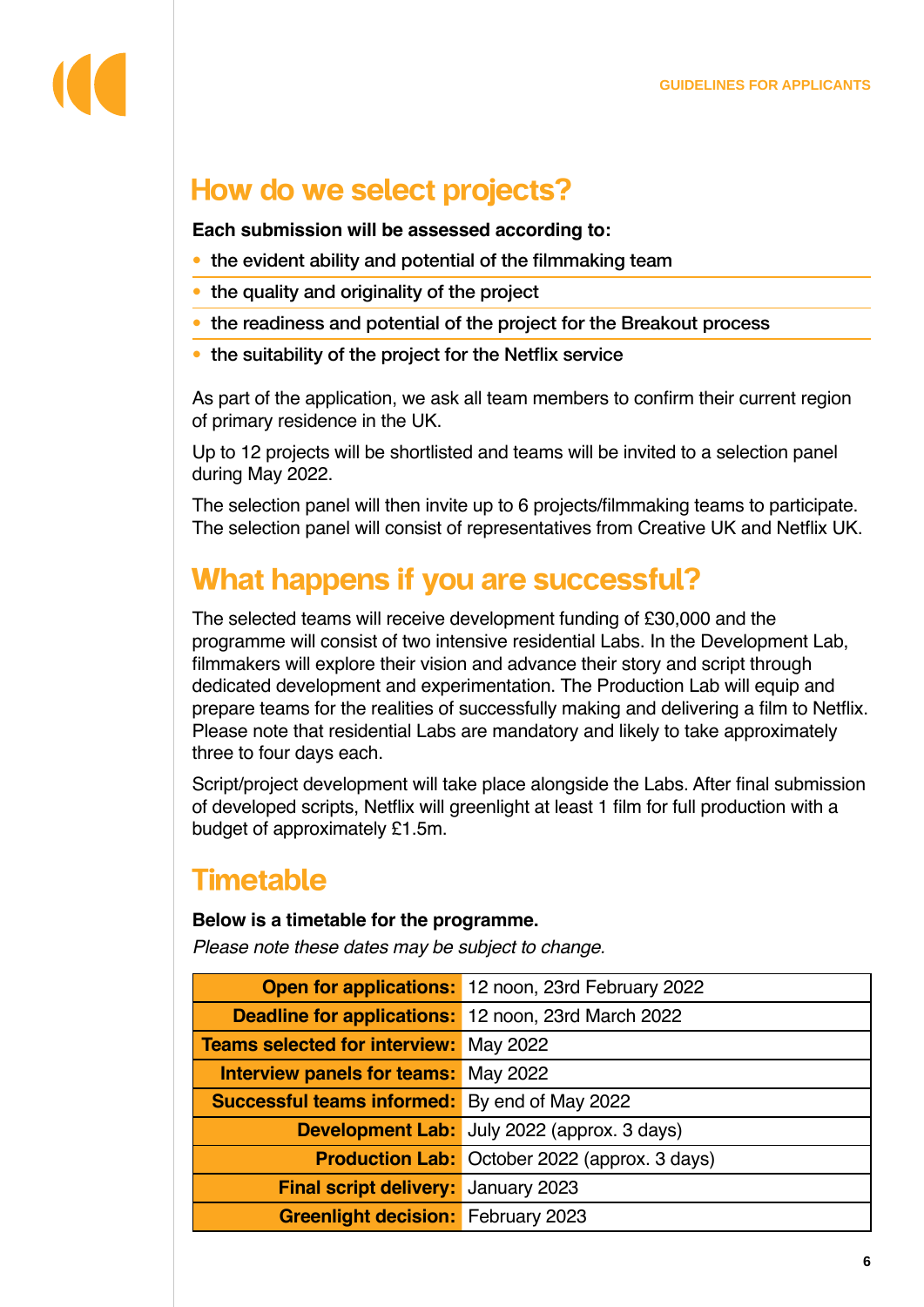## How do we select projects?

#### **Each submission will be assessed according to:**

- the evident ability and potential of the filmmaking team
- the quality and originality of the project
- the readiness and potential of the project for the Breakout process
- the suitability of the project for the Netflix service

As part of the application, we ask all team members to confirm their current region of primary residence in the UK.

Up to 12 projects will be shortlisted and teams will be invited to a selection panel during May 2022.

The selection panel will then invite up to 6 projects/filmmaking teams to participate. The selection panel will consist of representatives from Creative UK and Netflix UK.

#### What happens if you are successful?

The selected teams will receive development funding of £30,000 and the programme will consist of two intensive residential Labs. In the Development Lab, filmmakers will explore their vision and advance their story and script through dedicated development and experimentation. The Production Lab will equip and prepare teams for the realities of successfully making and delivering a film to Netflix. Please note that residential Labs are mandatory and likely to take approximately three to four days each.

Script/project development will take place alongside the Labs. After final submission of developed scripts, Netflix will greenlight at least 1 film for full production with a budget of approximately £1.5m.

#### **Timetable**

#### **Below is a timetable for the programme.**

*Please note these dates may be subject to change.*

| <b>Open for applications:</b> 12 noon, 23rd February 2022  |
|------------------------------------------------------------|
| <b>Deadline for applications:</b> 12 noon, 23rd March 2022 |
| <b>Teams selected for interview:</b> May 2022              |
| <b>Interview panels for teams:</b> May 2022                |
| <b>Successful teams informed:</b> By end of May 2022       |
| <b>Development Lab:</b> July 2022 (approx. 3 days)         |
| <b>Production Lab:</b> October 2022 (approx. 3 days)       |
| <b>Final script delivery:</b> January 2023                 |
| <b>Greenlight decision:</b> February 2023                  |
|                                                            |